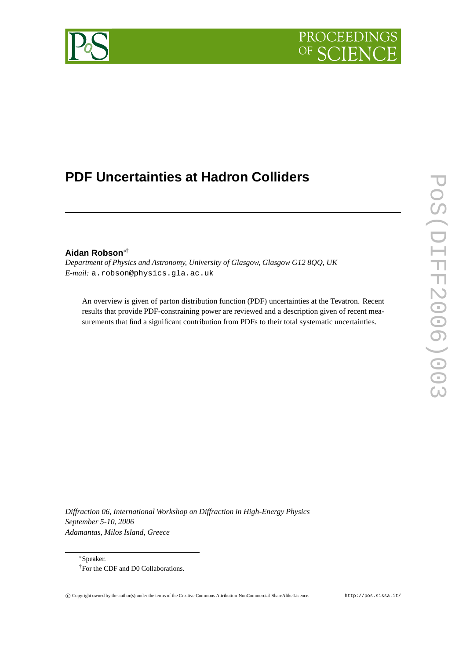

# **PDF Uncertainties at Hadron Colliders**

# **Aidan Robson**∗†

*Department of Physics and Astronomy, University of Glasgow, Glasgow G12 8QQ, UK E-mail:* a.robson@physics.gla.ac.uk

An overview is given of parton distribution function (PDF) uncertainties at the Tevatron. Recent results that provide PDF-constraining power are reviewed and a description given of recent measurements that find a significant contribution from PDFs to their total systematic uncertainties.

*Diffraction 06, International Workshop on Diffraction in High-Energy Physics September 5-10, 2006 Adamantas, Milos Island, Greece*

<sup>∗</sup>Speaker.

<sup>†</sup>For the CDF and D0 Collaborations.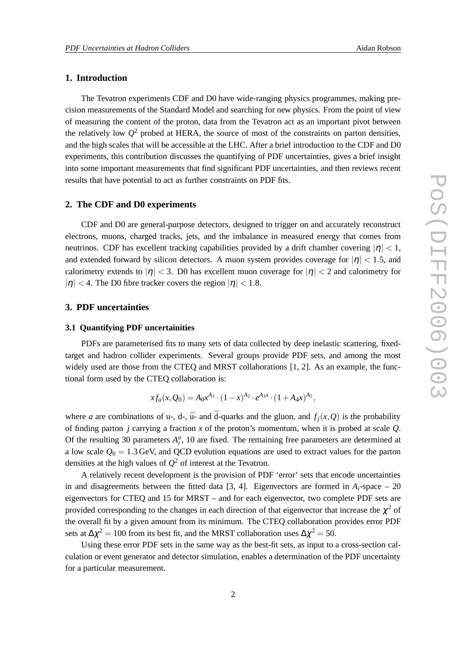## **1. Introduction**

The Tevatron experiments CDF and D0 have wide-ranging physics programmes, making precision measurements of the Standard Model and searching for new physics. From the point of view of measuring the content of the proton, data from the Tevatron act as an important pivot between the relatively low  $Q^2$  probed at HERA, the source of most of the constraints on parton densities, and the high scales that will be accessible at the LHC. After a brief introduction to the CDF and D0 experiments, this contribution discusses the quantifying of PDF uncertainties, gives a brief insight into some important measurements that find significant PDF uncertainties, and then reviews recent results that have potential to act as further constraints on PDF fits.

#### **2. The CDF and D0 experiments**

CDF and D0 are general-purpose detectors, designed to trigger on and accurately reconstruct electrons, muons, charged tracks, jets, and the imbalance in measured energy that comes from neutrinos. CDF has excellent tracking capabilities provided by a drift chamber covering  $|\eta| < 1$ , and extended forward by silicon detectors. A muon system provides coverage for  $|\eta| < 1.5$ , and calorimetry extends to  $|\eta| < 3$ . D0 has excellent muon coverage for  $|\eta| < 2$  and calorimetry for  $|\eta|$  < 4. The D0 fibre tracker covers the region  $|\eta|$  < 1.8.

### **3. PDF uncertainties**

#### **3.1 Quantifying PDF uncertainities**

PDFs are parameterised fits to many sets of data collected by deep inelastic scattering, fixedtarget and hadron collider experiments. Several groups provide PDF sets, and among the most widely used are those from the CTEQ and MRST collaborations [1, 2]. As an example, the functional form used by the CTEQ collaboration is:

$$
xf_a(x,Q_0) = A_0x^{A_1} \cdot (1-x)^{A_2} \cdot e^{A_3x} \cdot (1+A_4x)^{A_5},
$$

where *a* are combinations of u-, d-,  $\bar{u}$ - and  $\bar{d}$ -quarks and the gluon, and  $f_i(x, Q)$  is the probability of finding parton *j* carrying a fraction *x* of the proton's momentum, when it is probed at scale *Q*. Of the resulting 30 parameters  $A_i^a$ , 10 are fixed. The remaining free parameters are determined at a low scale  $Q_0 = 1.3$  GeV, and QCD evolution equations are used to extract values for the parton densities at the high values of *Q* <sup>2</sup> of interest at the Tevatron.

A relatively recent development is the provision of PDF 'error' sets that encode uncertainties in and disagreements between the fitted data [3, 4]. Eigenvectors are formed in  $A_i$ -space – 20 eigenvectors for CTEQ and 15 for MRST – and for each eigenvector, two complete PDF sets are provided corresponding to the changes in each direction of that eigenvector that increase the  $\chi^2$  of the overall fit by a given amount from its minimum. The CTEQ collaboration provides error PDF sets at  $\Delta \chi^2 = 100$  from its best fit, and the MRST collaboration uses  $\Delta \chi^2 = 50$ .

Using these error PDF sets in the same way as the best-fit sets, as input to a cross-section calculation or event generator and detector simulation, enables a determination of the PDF uncertainty for a particular measurement.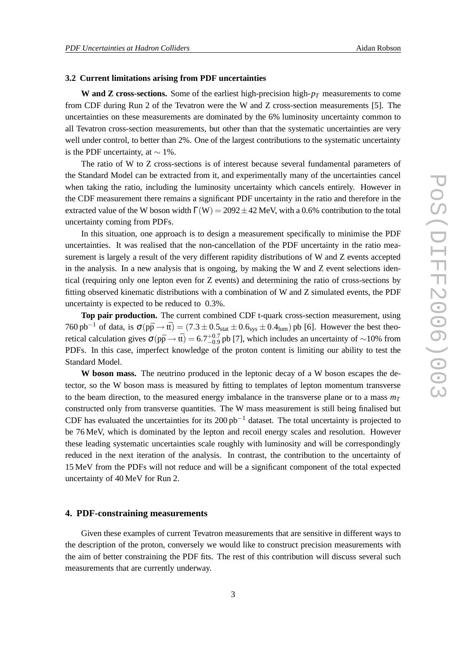#### **3.2 Current limitations arising from PDF uncertainties**

**W and Z cross-sections.** Some of the earliest high-precision high-*p<sup>T</sup>* measurements to come from CDF during Run 2 of the Tevatron were the W and Z cross-section measurements [5]. The uncertainties on these measurements are dominated by the 6% luminosity uncertainty common to all Tevatron cross-section measurements, but other than that the systematic uncertainties are very well under control, to better than 2%. One of the largest contributions to the systematic uncertainty is the PDF uncertainty, at  $\sim$  1%.

The ratio of W to Z cross-sections is of interest because several fundamental parameters of the Standard Model can be extracted from it, and experimentally many of the uncertainties cancel when taking the ratio, including the luminosity uncertainty which cancels entirely. However in the CDF measurement there remains a significant PDF uncertainty in the ratio and therefore in the extracted value of the W boson width  $\Gamma(W) = 2092 \pm 42$  MeV, with a 0.6% contribution to the total uncertainty coming from PDFs.

In this situation, one approach is to design a measurement specifically to minimise the PDF uncertainties. It was realised that the non-cancellation of the PDF uncertainty in the ratio measurement is largely a result of the very different rapidity distributions of W and Z events accepted in the analysis. In a new analysis that is ongoing, by making the W and Z event selections identical (requiring only one lepton even for Z events) and determining the ratio of cross-sections by fitting observed kinematic distributions with a combination of W and Z simulated events, the PDF uncertainty is expected to be reduced to 0.3%.

**Top pair production.** The current combined CDF t-quark cross-section measurement, using 760 pb<sup>-1</sup> of data, is  $\sigma(p\bar{p} \rightarrow t\bar{t}) = (7.3 \pm 0.5_{stat} \pm 0.6_{sys} \pm 0.4_{lum})$  pb [6]. However the best theoretical calculation gives  $\sigma(p\bar{p} \to t\bar{t}) = 6.7^{+0.7}_{-0.9}$  pb [7], which includes an uncertainty of ~10% from PDFs. In this case, imperfect knowledge of the proton content is limiting our ability to test the Standard Model.

**W boson mass.** The neutrino produced in the leptonic decay of a W boson escapes the detector, so the W boson mass is measured by fitting to templates of lepton momentum transverse to the beam direction, to the measured energy imbalance in the transverse plane or to a mass  $m<sub>T</sub>$ constructed only from transverse quantities. The W mass measurement is still being finalised but CDF has evaluated the uncertainties for its 200  $pb^{-1}$  dataset. The total uncertainty is projected to be 76 MeV, which is dominated by the lepton and recoil energy scales and resolution. However these leading systematic uncertainties scale roughly with luminosity and will be correspondingly reduced in the next iteration of the analysis. In contrast, the contribution to the uncertainty of 15 MeV from the PDFs will not reduce and will be a significant component of the total expected uncertainty of 40 MeV for Run 2.

#### **4. PDF-constraining measurements**

Given these examples of current Tevatron measurements that are sensitive in different ways to the description of the proton, conversely we would like to construct precision measurements with the aim of better constraining the PDF fits. The rest of this contribution will discuss several such measurements that are currently underway.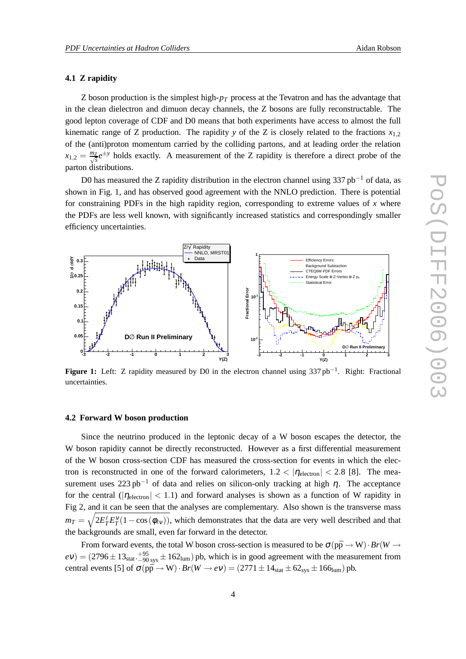#### **4.1 Z rapidity**

Z boson production is the simplest high-*p<sup>T</sup>* process at the Tevatron and has the advantage that in the clean dielectron and dimuon decay channels, the Z bosons are fully reconstructable. The good lepton coverage of CDF and D0 means that both experiments have access to almost the full kinematic range of Z production. The rapidity *y* of the Z is closely related to the fractions  $x_{1,2}$ of the (anti)proton momentum carried by the colliding partons, and at leading order the relation  $x_{1,2} = \frac{m_Z}{\sqrt{s}} e^{\pm y}$  holds exactly. A measurement of the Z rapidity is therefore a direct probe of the parton distributions.

D0 has measured the Z rapidity distribution in the electron channel using 337 pb<sup>-1</sup> of data, as shown in Fig. 1, and has observed good agreement with the NNLO prediction. There is potential for constraining PDFs in the high rapidity region, corresponding to extreme values of *x* where the PDFs are less well known, with significantly increased statistics and correspondingly smaller efficiency uncertainties.



**Figure 1:** Left: Z rapidity measured by D0 in the electron channel using 337 pb−<sup>1</sup> . Right: Fractional uncertainties.

#### **4.2 Forward W boson production**

Since the neutrino produced in the leptonic decay of a W boson escapes the detector, the W boson rapidity cannot be directly reconstructed. However as a first differential measurement of the W boson cross-section CDF has measured the cross-section for events in which the electron is reconstructed in one of the forward calorimeters,  $1.2 < |\eta_{\text{electron}}| < 2.8$  [8]. The measurement uses 223 pb<sup>-1</sup> of data and relies on silicon-only tracking at high  $\eta$ . The acceptance for the central ( $|\eta_{\text{electron}}|$  < 1.1) and forward analyses is shown as a function of W rapidity in Fig 2, and it can be seen that the analyses are complementary. Also shown is the transverse mass  $m_T = \sqrt{2E_T^{\ell}E_T^{\nu}(1-\cos{(\phi_{\ell\nu})})}$ , which demonstrates that the data are very well described and that the backgrounds are small, even far forward in the detector.

From forward events, the total W boson cross-section is measured to be  $\sigma(p\bar{p} \rightarrow W) \cdot Br(W \rightarrow$  $ev$ ) = (2796  $\pm$  13<sub>stat</sub>.  $^{+95}_{-90}$  sys  $\pm$  162<sub>lum</sub>) pb, which is in good agreement with the measurement from central events [5] of  $\sigma(p\bar{p} \rightarrow W) \cdot Br(W \rightarrow eV) = (2771 \pm 14_{stat} \pm 62_{sys} \pm 166_{lum})$  pb.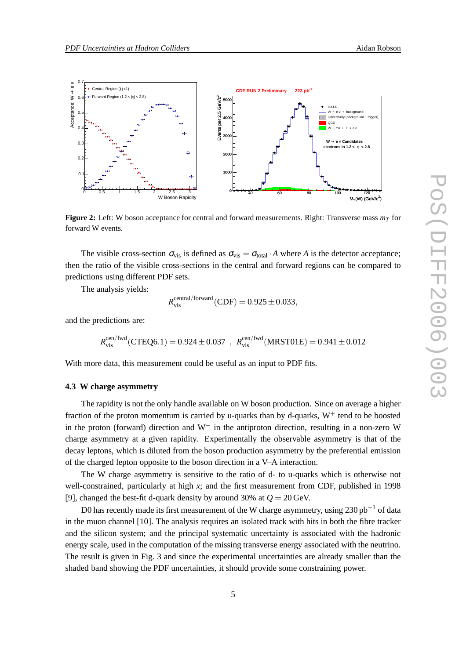![](_page_4_Figure_2.jpeg)

**Figure 2:** Left: W boson acceptance for central and forward measurements. Right: Transverse mass *m<sup>T</sup>* for forward W events.

The visible cross-section  $\sigma_{vis}$  is defined as  $\sigma_{vis} = \sigma_{total} \cdot A$  where *A* is the detector acceptance; then the ratio of the visible cross-sections in the central and forward regions can be compared to predictions using different PDF sets.

The analysis yields:

$$
R_{\rm vis}^{\rm central/forward}({\rm CDF}) = 0.925 \pm 0.033,
$$

and the predictions are:

$$
R_{\rm vis}^{\rm cen/fwd}({\rm CTEQ6.1}) = 0.924 \pm 0.037 ~,~ R_{\rm vis}^{\rm cen/fwd}({\rm MRST01E}) = 0.941 \pm 0.012
$$

With more data, this measurement could be useful as an input to PDF fits.

#### **4.3 W charge asymmetry**

The rapidity is not the only handle available on W boson production. Since on average a higher fraction of the proton momentum is carried by u-quarks than by d-quarks,  $W^+$  tend to be boosted in the proton (forward) direction and W− in the antiproton direction, resulting in a non-zero W charge asymmetry at a given rapidity. Experimentally the observable asymmetry is that of the decay leptons, which is diluted from the boson production asymmetry by the preferential emission of the charged lepton opposite to the boson direction in a V–A interaction.

The W charge asymmetry is sensitive to the ratio of d- to u-quarks which is otherwise not well-constrained, particularly at high *x*; and the first measurement from CDF, published in 1998 [9], changed the best-fit d-quark density by around 30% at  $Q = 20 \,\text{GeV}$ .

D0 has recently made its first measurement of the W charge asymmetry, using 230 pb<sup>-1</sup> of data in the muon channel [10]. The analysis requires an isolated track with hits in both the fibre tracker and the silicon system; and the principal systematic uncertainty is associated with the hadronic energy scale, used in the computation of the missing transverse energy associated with the neutrino. The result is given in Fig. 3 and since the experimental uncertainties are already smaller than the shaded band showing the PDF uncertainties, it should provide some constraining power.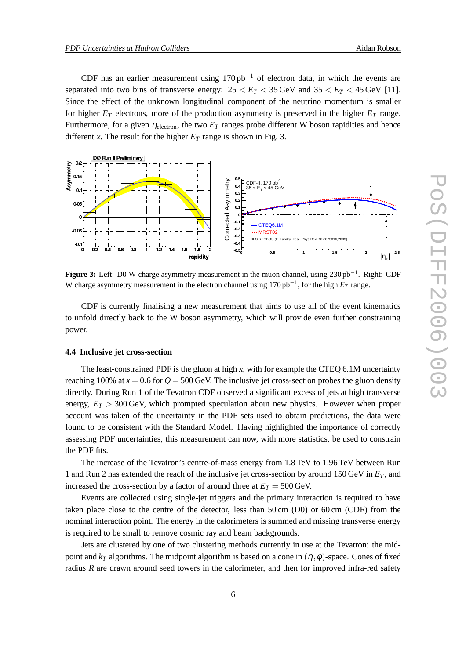CDF has an earlier measurement using  $170$  pb<sup>-1</sup> of electron data, in which the events are separated into two bins of transverse energy:  $25 < E_T < 35$  GeV and  $35 < E_T < 45$  GeV [11]. Since the effect of the unknown longitudinal component of the neutrino momentum is smaller for higher  $E_T$  electrons, more of the production asymmetry is preserved in the higher  $E_T$  range. Furthermore, for a given  $\eta_{\text{electron}}$ , the two  $E_T$  ranges probe different W boson rapidities and hence different *x*. The result for the higher  $E_T$  range is shown in Fig. 3.

![](_page_5_Figure_3.jpeg)

**Figure 3:** Left: D0 W charge asymmetry measurement in the muon channel, using 230 pb−<sup>1</sup> . Right: CDF W charge asymmetry measurement in the electron channel using 170 pb−<sup>1</sup> , for the high *E<sup>T</sup>* range.

CDF is currently finalising a new measurement that aims to use all of the event kinematics to unfold directly back to the W boson asymmetry, which will provide even further constraining power.

#### **4.4 Inclusive jet cross-section**

The least-constrained PDF is the gluon at high *x*, with for example the CTEQ 6.1M uncertainty reaching 100% at  $x = 0.6$  for  $Q = 500$  GeV. The inclusive jet cross-section probes the gluon density directly. During Run 1 of the Tevatron CDF observed a significant excess of jets at high transverse energy,  $E_T > 300$  GeV, which prompted speculation about new physics. However when proper account was taken of the uncertainty in the PDF sets used to obtain predictions, the data were found to be consistent with the Standard Model. Having highlighted the importance of correctly assessing PDF uncertainties, this measurement can now, with more statistics, be used to constrain the PDF fits.

The increase of the Tevatron's centre-of-mass energy from 1.8 TeV to 1.96 TeV between Run 1 and Run 2 has extended the reach of the inclusive jet cross-section by around 150 GeV in *E<sup>T</sup>* , and increased the cross-section by a factor of around three at  $E_T = 500 \,\text{GeV}$ .

Events are collected using single-jet triggers and the primary interaction is required to have taken place close to the centre of the detector, less than 50 cm (D0) or 60 cm (CDF) from the nominal interaction point. The energy in the calorimeters is summed and missing transverse energy is required to be small to remove cosmic ray and beam backgrounds.

Jets are clustered by one of two clustering methods currently in use at the Tevatron: the midpoint and  $k<sub>T</sub>$  algorithms. The midpoint algorithm is based on a cone in  $(\eta, \phi)$ -space. Cones of fixed radius *R* are drawn around seed towers in the calorimeter, and then for improved infra-red safety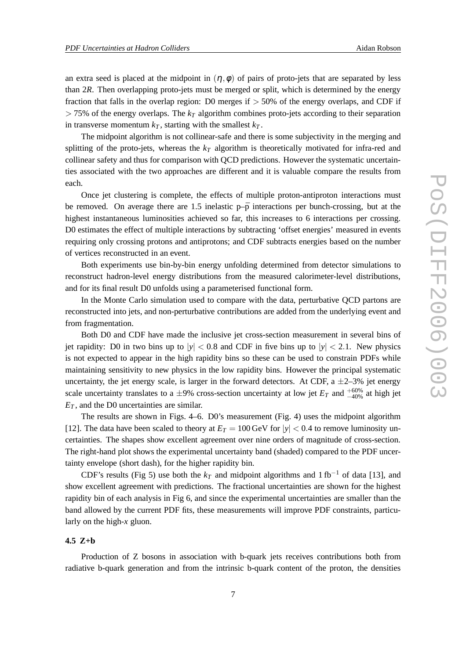an extra seed is placed at the midpoint in  $(\eta, \phi)$  of pairs of proto-jets that are separated by less than 2*R*. Then overlapping proto-jets must be merged or split, which is determined by the energy fraction that falls in the overlap region: D0 merges if  $> 50\%$  of the energy overlaps, and CDF if  $> 75\%$  of the energy overlaps. The  $k_T$  algorithm combines proto-jets according to their separation in transverse momentum  $k_T$ , starting with the smallest  $k_T$ .

The midpoint algorithm is not collinear-safe and there is some subjectivity in the merging and splitting of the proto-jets, whereas the *k<sup>T</sup>* algorithm is theoretically motivated for infra-red and collinear safety and thus for comparison with QCD predictions. However the systematic uncertainties associated with the two approaches are different and it is valuable compare the results from each.

Once jet clustering is complete, the effects of multiple proton-antiproton interactions must be removed. On average there are 1.5 inelastic  $p-\bar{p}$  interactions per bunch-crossing, but at the highest instantaneous luminosities achieved so far, this increases to 6 interactions per crossing. D0 estimates the effect of multiple interactions by subtracting 'offset energies' measured in events requiring only crossing protons and antiprotons; and CDF subtracts energies based on the number of vertices reconstructed in an event.

Both experiments use bin-by-bin energy unfolding determined from detector simulations to reconstruct hadron-level energy distributions from the measured calorimeter-level distributions, and for its final result D0 unfolds using a parameterised functional form.

In the Monte Carlo simulation used to compare with the data, perturbative QCD partons are reconstructed into jets, and non-perturbative contributions are added from the underlying event and from fragmentation.

Both D0 and CDF have made the inclusive jet cross-section measurement in several bins of jet rapidity: D0 in two bins up to  $|y| < 0.8$  and CDF in five bins up to  $|y| < 2.1$ . New physics is not expected to appear in the high rapidity bins so these can be used to constrain PDFs while maintaining sensitivity to new physics in the low rapidity bins. However the principal systematic uncertainty, the jet energy scale, is larger in the forward detectors. At CDF, a  $\pm$ 2–3% jet energy scale uncertainty translates to a  $\pm 9\%$  cross-section uncertainty at low jet  $E_T$  and  $^{+60\%}_{-40\%}$  at high jet *E<sup>T</sup>* , and the D0 uncertainties are similar.

The results are shown in Figs. 4–6. D0's measurement (Fig. 4) uses the midpoint algorithm [12]. The data have been scaled to theory at  $E_T = 100 \,\text{GeV}$  for  $|y| < 0.4$  to remove luminosity uncertainties. The shapes show excellent agreement over nine orders of magnitude of cross-section. The right-hand plot shows the experimental uncertainty band (shaded) compared to the PDF uncertainty envelope (short dash), for the higher rapidity bin.

CDF's results (Fig 5) use both the  $k_T$  and midpoint algorithms and 1 fb<sup>-1</sup> of data [13], and show excellent agreement with predictions. The fractional uncertainties are shown for the highest rapidity bin of each analysis in Fig 6, and since the experimental uncertainties are smaller than the band allowed by the current PDF fits, these measurements will improve PDF constraints, particularly on the high-*x* gluon.

#### **4.5 Z+b**

Production of Z bosons in association with b-quark jets receives contributions both from radiative b-quark generation and from the intrinsic b-quark content of the proton, the densities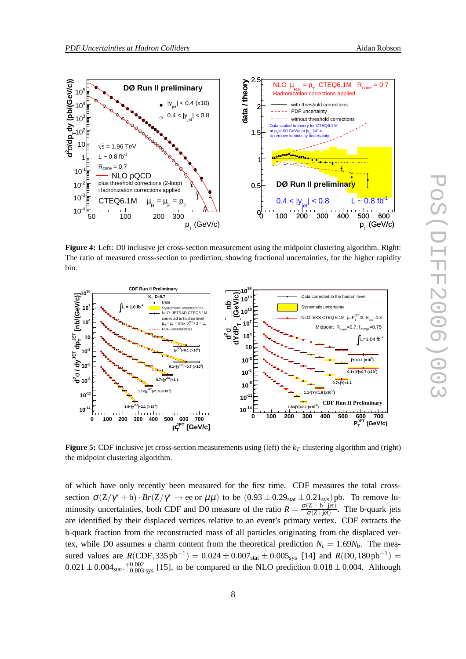![](_page_7_Figure_3.jpeg)

**Figure 4:** Left: D0 inclusive jet cross-section measurement using the midpoint clustering algorithm. Right: The ratio of measured cross-section to prediction, showing fractional uncertainties, for the higher rapidity bin.

![](_page_7_Figure_5.jpeg)

**Figure 5:** CDF inclusive jet cross-section measurements using (left) the *k<sup>T</sup>* clustering algorithm and (right) the midpoint clustering algorithm.

of which have only recently been measured for the first time. CDF measures the total crosssection  $\sigma(Z/\gamma^* + b) \cdot Br(Z/\gamma^* \to ee \text{ or } \mu\mu)$  to be  $(0.93 \pm 0.29_{stat} \pm 0.21_{sys})$  pb. To remove luminosity uncertainties, both CDF and D0 measure of the ratio  $R = \frac{\sigma(Z + b - jet)}{\sigma(Z + jet)}$ . The b-quark jets are identified by their displaced vertices relative to an event's primary vertex. CDF extracts the b-quark fraction from the reconstructed mass of all particles originating from the displaced vertex, while D0 assumes a charm content from the theoretical prediction  $N_c = 1.69N_b$ . The measured values are  $R(CDF, 335 pb^{-1}) = 0.024 \pm 0.007_{stat} \pm 0.005_{sys}$  [14] and  $R(D0, 180 pb^{-1}) =$  $0.021 \pm 0.004_{stat} + 0.002_{syst}$  [15], to be compared to the NLO prediction  $0.018 \pm 0.004$ . Although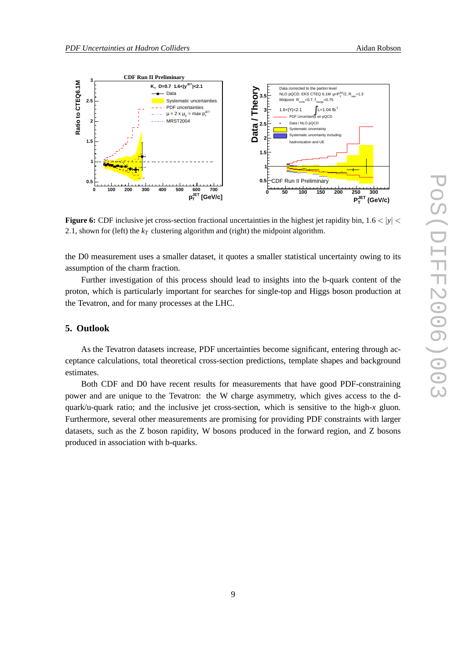![](_page_8_Figure_3.jpeg)

**Figure 6:** CDF inclusive jet cross-section fractional uncertainties in the highest jet rapidity bin,  $1.6 < |y|$ 2.1, shown for (left) the  $k<sub>T</sub>$  clustering algorithm and (right) the midpoint algorithm.

the D0 measurement uses a smaller dataset, it quotes a smaller statistical uncertainty owing to its assumption of the charm fraction.

Further investigation of this process should lead to insights into the b-quark content of the proton, which is particularly important for searches for single-top and Higgs boson production at the Tevatron, and for many processes at the LHC.

### **5. Outlook**

As the Tevatron datasets increase, PDF uncertainties become significant, entering through acceptance calculations, total theoretical cross-section predictions, template shapes and background estimates.

Both CDF and D0 have recent results for measurements that have good PDF-constraining power and are unique to the Tevatron: the W charge asymmetry, which gives access to the dquark/u-quark ratio; and the inclusive jet cross-section, which is sensitive to the high-*x* gluon. Furthermore, several other measurements are promising for providing PDF constraints with larger datasets, such as the Z boson rapidity, W bosons produced in the forward region, and Z bosons produced in association with b-quarks.